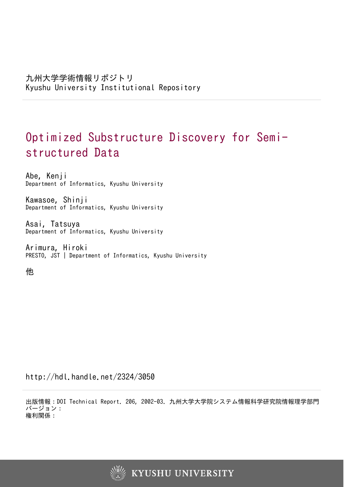# Optimized Substructure Discovery for Semistructured Data

Abe, Kenji Department of Informatics, Kyushu University

Kawasoe, Shinji Department of Informatics, Kyushu University

Asai, Tatsuya Department of Informatics, Kyushu University

Arimura, Hiroki PRESTO, JST | Department of Informatics, Kyushu University

他

http://hdl.handle.net/2324/3050

出版情報:DOI Technical Report. 206, 2002-03. 九州大学大学院システム情報科学研究院情報理学部門 バージョン: 権利関係:

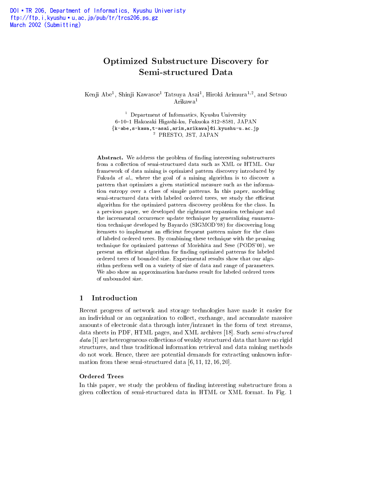## Optimized Substru
ture Dis
overy for Semi-stru
tured Data

Kenji Abe-, Shinji Kawasoe - Tatsuya Asai-, Hiroki Arimura + , and Setsuo Arikawa1

> the Department of Informatics, Kyushu University 6-10-1 Hakozaki Higashi-ku, Fukuoka 812-8581, JAPAN  $\{$ k-abe,s-kawa,t-asai,arim,arikawa $\}$ @i.kyushu-u.ac.jp <sup>2</sup> PRESTO, JST, JAPAN

Abstract. We address the problem of finding interesting substructures from a collection of semi-structured data such as XML or HTML. Our framework of data mining is optimized pattern dis
overy introdu
ed by Fukuda et al., where the goal of a mining algorithm is to discover a pattern that optimizes a given statisti
al measure su
h as the information entropy over a lass of simple patterns. In this paper, modeling semi-structured data with labeled ordered trees, we study the efficient algorithm for the optimized pattern dis
overy problem for the lass. In a previous paper, we developed the rightmost expansion te
hnique and the incremental occurrence update technique by generalizing enumeration technique developed by Bayardo (SIGMOD'98) for discovering long itemsets to implement an efficient frequent pattern miner for the class of labeled ordered trees. By ombining these te
hnique with the pruning te
hnique for optimized patterns of Morishita and Sese (PODS'00), we present an efficient algorithm for finding optimized patterns for labeled ordered trees of bounded size. Experimental results show that our algorithm perform well on a variety of size of data and range of parameters. We also show an approximation hardness result for labeled ordered trees of unbounded size.

## <sup>1</sup> Introdu
tion

Re
ent progress of network and storage te
hnologies have made it easier for an individual or an organization to collect, exchange, and accumulate massive amounts of ele
troni data through inter/intranet in the form of text streams, data sheets in PDF, HTML pages, and XML archives [18]. Such semi-structured data [1] are heterogeneous collections of weakly structured data that have no rigid stru
tures, and thus traditional information retrieval and data mining methods do not work. Hence, there are potential demands for extracting unknown information from these semi-structured data  $[6, 11, 12, 16, 20]$ .

#### Ordered Trees

In this paper, we study the problem of finding interesting substructure from a given olle
tion of semi-stru
tured data in HTML or XML format. In Fig. 1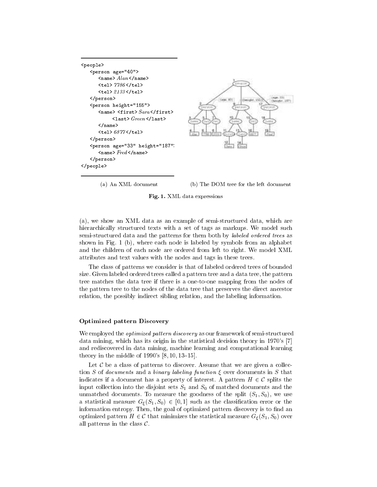```
<people>
   p = -1<name> Alan </name>
      <tel> 7786 </tel>
      <tel> 2133 </tel>
   </person>p \sim 15.5 is the distribution of 15.5<name> <first> Sara </first>
            <last> Green </last>
      \langle/name\rangle<tel> 6877 </tel>
   </person><person age="33" height="187">
      <name> Fred </name>
   </person></people>
```
(a) An XML document (b) The DOM tree for the left document

#### Fig. 1. XML data expressions

(a), we show an XML data as an example of semi-stru
tured data, whi
h are hierarchically structured texts with a set of tags as markups. We model such semi-structured data and the patterns for them both by *labeled ordered trees* as shown in Fig. 1 (b), where ea
h node is labeled by symbols from an alphabet and the hildren of ea
h node are ordered from left to right. We model XML attributes and text values with the nodes and tags in these trees.

The class of patterns we consider is that of labeled ordered trees of bounded size. Given labeled ordered trees alled a pattern tree and a data tree, the pattern tree mat
hes the data tree if there is a one-to-one mapping from the nodes of the pattern tree to the nodes of the data tree that preserves the direct ancestor relation, the possibly indirect sibling relation, and the labeling information.

#### Optimized pattern Dis
overy

We employed the *optimized pattern discovery* as our framework of semi-structured data mining, which has its origin in the statistical decision theory in 1970's [7] and redis
overed in data mining, ma
hine learning and omputational learning theory in the middle of  $1990's [8, 10, 13-15].$ 

Let  $\mathcal C$  be a class of patterns to discover. Assume that we are given a collection S of *documents* and a *binary labeling function*  $\xi$  over documents in S that indicates if a document has a property of interest. A pattern  $H \in \mathcal{C}$  splits the input collection into the disjoint sets  $S_1$  and  $S_0$  of matched documents and the unmatched documents. To measure the goodness of the split  $(S_1, S_0)$ , we use a statistical measure  $G_{\xi}(S_1, S_0) \in [0, 1]$  such as the classification error or the information entropy. Then, the goal of optimized pattern discovery is to find an optimized pattern  $H \in \mathcal{C}$  that minimizes the statistical measure  $G_{\xi}(S_1, S_0)$  over all patterns in the class  $\mathcal{C}$ .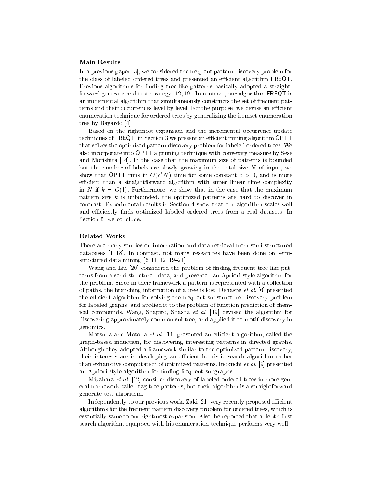#### **Main Results**

In a previous paper [3], we considered the frequent pattern discovery problem for the class of labeled ordered trees and presented an efficient algorithm **FREQT**. Previous algorithms for finding tree-like patterns basically adopted a straightforward generate-and-test strategy  $[12, 19]$ . In contrast, our algorithm FREQT is an incremental algorithm that simultaneously constructs the set of frequent patterns and their occurrences level by level. For the purpose, we devise an efficient enumeration te
hnique for ordered trees by generalizing the itemset enumeration tree by Bayardo [4].

Based on the rightmost expansion and the incremental occurrence-update techniques of FREQT, in Section 3 we present an efficient mining algorithm OPTT that solves the optimized pattern dis
overy problem for labeled ordered trees. We also in
orporate into OPTT a pruning te
hnique with onvexity measure by Sese and Morishita  $[14]$ . In the case that the maximum size of patterns is bounded but the number of labels are slowly growing in the total size  $N$  of input, we show that OPTT runs in  $O(\mathcal{C}/N)$  time for some constant  $\mathcal{C} > 0,$  and is more efficient than a straightforward algorithm with super linear time complexity in N if  $k = O(1)$ . Furthermore, we show that in the case that the maximum pattern size  $k$  is unbounded, the optimized patterns are hard to discover in ontrast. Experimental results in Se
tion 4 show that our algorithm s
ales well and efficiently finds optimized labeled ordered trees from a real datasets. In Section 5, we conclude.

#### Related Works

There are many studies on information and data retrieval from semi-structured databases  $[1, 18]$ . In contrast, not many researches have been done on semistructured data mining  $[6, 11, 12, 19{-}21]$ .

Wang and Liu [20] considered the problem of finding frequent tree-like patterns from a semi-structured data, and presented an Apriori-style algorithm for the problem. Since in their framework a pattern is represented with a collection of paths, the branching information of a tree is lost. Dehaspe *et al.* [6] presented the efficient algorithm for solving the frequent substructure discovery problem for labeled graphs, and applied it to the problem of function prediction of chemical compounds. Wang, Shapiro, Shasha et al. [19] devised the algorithm for dis
overing approximately ommon subtree, and applied it to motif dis
overy in genomi
s.

Matsuda and Motoda et al. [11] presented an efficient algorithm, called the graph-based indu
tion, for dis
overing interesting patterns in dire
ted graphs. Although they adopted a framework similar to the optimized pattern discovery, their interests are in developing an efficient heuristic search algorithm rather than exhaustive computation of optimized patterns. Inokuchi et al.  $[9]$  presented an Apriori-style algorithm for finding frequent subgraphs.

Miyahara et al. [12] consider discovery of labeled ordered trees in more general framework alled tag-tree patterns, but their algorithm is a straightforward generate-test algorithm.

Independently to our previous work, Zaki [21] very recently proposed efficient algorithms for the frequent pattern dis
overy problem for ordered trees, whi
h is essentially same to our rightmost expansion. Also, he reported that a depth-first sear
h algorithm equipped with his enumeration te
hnique performs very well.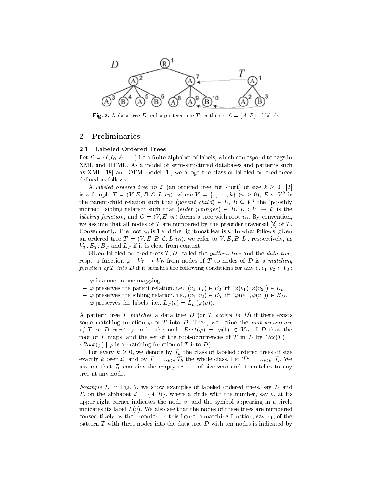

**Fig. 2.** A data tree D and a pattern tree T on the set  $\mathcal{L} = \{A, B\}$  of labels

## <sup>2</sup> Preliminaries

#### 2.1 Labeled Ordered Trees

Let  $\mathcal{L} = \{\ell, \ell_0, \ell_1, \ldots\}$  be a finite alphabet of labels, which correspond to tags in XML and HTML. As a model of semi-stru
tured databases and patterns su
h as XML [18] and OEM model [1], we adopt the class of labeled ordered trees defined as follows.

A labeled ordered tree on  $\mathcal L$  (an ordered tree, for short) of size  $k > 0$  [2] is a 6-tuple  $T = (V, E, B, \mathcal{L}, L, v_0),$  where  $V = \{1, \ldots, k\}$   $(n \geq 0), E \subseteq V^2$  is the parent-child relation such that  $(parent, child) \in E$ ,  $B \subseteq V^2$  the (possibly indirect) sibling relation such that  $(elder, younger) \in B$ .  $L : V \rightarrow \mathcal{L}$  is the labeling function, where with  $\alpha$  and  $\alpha$  is and  $\alpha$  is a convention, with root variable  $\alpha$ we assume that all nodes of T are numbered by the preorder traversal [2] of T. Consequently, The root  $v_0$  is 1 and the rightmost leaf is k. In what follows, given an ordered tree  $T = (V, E, B, \mathcal{L}, L, v_0)$ , we refer to  $V, E, B, L$ , respectively, as  $V_T, E_T, B_T$  and  $L_T$  if it is clear from context.

Given labeled ordered trees  $T, D$ , called the *pattern tree* and the *data tree*, resp., a function  $\varphi : V_T \to V_D$  from nodes of T to nodes of D is a matching function of T into D if it satisfies the following conditions for any  $v, v_1, v_2 \in V_T$ :

- $\varphi$  is a one-to-one mapping.
- ${\varphi}$  preserves the parent relation, i.e.,  $(v_1, v_2) \in E_T$  iff  $(\varphi(v_1), \varphi(v_2)) \in E_D$ .
- ${\varphi}$  preserves the sibling relation, i.e.,  $(v_1, v_2) \in B_T$  iff  $(\varphi(v_1), \varphi(v_2)) \in B_D$ .
- $-\varphi$  preserves the labels, i.e.,  $L_T(v) = L_D(\varphi(v))$ .

A pattern tree T matches a data tree D (or T occurs in D) if there exists some matching function  $\varphi$  of T into D. Then, we define the root occurrence of T in D w.r.t.  $\varphi$  to be the node  $Root(\varphi) = \varphi(1) \in V_D$  of D that the root of T maps, and the set of the root-occurrences of T in D by  $Occ(T)$  $\{Root(\varphi) | \varphi \text{ is a matching function of } T \text{ into } D\}.$ 

For every  $k \geq 0$ , we denote by  $\mathcal{T}_k$  the class of labeled ordered trees of size exactly k over L, and by  $\mathcal{T} = \bigcup_{k\geq 0} \mathcal{T}_k$  the whole class. Let  $\mathcal{T}^k = \bigcup_{i\leq k} \mathcal{T}_i$ . We assume that  $\mathcal{T}_0$  contains the empty tree  $\perp$  of size zero and  $\perp$  matches to any tree at any node.

Example 1. In Fig. 2, we show examples of labeled ordered trees, say D and T, on the alphabet  $\mathcal{L} = \{A, B\}$ , where a circle with the number, say v, at its upper right corner indicates the node  $v$ , and the symbol appearing in a circle indicates its label  $L(v)$ . We also see that the nodes of these trees are numbered consecutively by the preorder. In this figure, a matching function, say  $\varphi_1$ , of the pattern  $T$  with three nodes into the data tree  $D$  with ten nodes is indicated by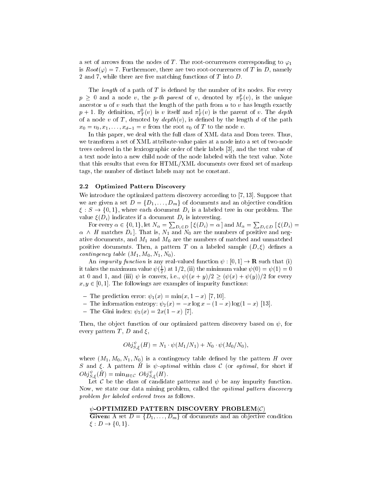a set of arrows from the nodes of T. The root-occurrences corresponding to  $\varphi_1$ is  $Root(\varphi) = 7$ . Furthermore, there are two root-occurrences of T in D, namely 2 and 7, while there are five matching functions of  $T$  into  $D$ .

The *length* of a path of  $T$  is defined by the number of its nodes. For every  $p \geq 0$  and a node v, the p-th parent of v, denoted by  $\pi_T^{\mu}(v)$ , is the unique ancestor  $u$  of  $v$  such that the length of the path from  $u$  to  $v$  has length exactly  $p$  + 1. By definition,  $\pi_T^{\perp}(v)$  is v itself and  $\pi_T^{\perp}(v)$  is the parent of v. The depth of a node  $v$  of  $T$ , denoted by  $depth(v)$ , is defined by the length  $d$  of the path  $x_0 = v_0, x_1, \ldots, x_{d-1} = v$  from the root  $v_0$  of T to the node v.

In this paper, we deal with the full lass of XML data and Dom trees. Thus, we transform a set of XML attribute-value pairs at a node into a set of two-node trees ordered in the lexicographic order of their labels [3], and the text value of a text node into a new child node of the node labeled with the text value. Note that this results that even for HTML/XML documents over fixed set of markup tags, the number of distin
t labels may not be onstant.

#### 2.2 Optimized Pattern Discovery

We introduce the optimized pattern discovery according to  $[7, 13]$ . Suppose that we are given a set  $D = \{D_1, \ldots, D_m\}$  of documents and an objective condition  $\xi: S \to \{0,1\}$ , where each document  $D_i$  is a labeled tree in our problem. The value  $\xi(D_i)$  indicates if a document  $D_i$  is interesting.

For every  $\alpha\in\{0,1\},$  let  $N_\alpha=\sum_{D_i\in D} \ [\ \xi(D_i)=\alpha\ ]$  and  $M_\alpha=\sum_{D_i\in D} \ [\ \xi(D_i)=\ ]$  $\alpha \wedge H$  matches  $D_i$ . That is,  $N_1$  and  $N_0$  are the numbers of positive and negative documents, and  $M_1$  and  $M_0$  are the numbers of matched and unmatched positive documents. Then, a pattern T on a labeled sample  $(D, \xi)$  defines a ontingen
y table (M1; M0; N1; N0).

An *impurity function* is any real-valued function  $\psi : [0,1] \to \mathbf{R}$  such that (i) it takes the maximum value  $\psi(\frac{1}{2})$  at 1/2, (ii) the minimum value  $\psi(0) = \psi(1) = 0$ at 0 and 1, and (iii)  $\psi$  is convex, i.e.,  $\psi((x+y)/2 \ge (\psi(x)+\psi(y))/2$  for every  $x, y \in [0, 1]$ . The followings are examples of impurity functions:

- The prediction error:  $\psi_1(x) = \min(x, 1-x)$  [7, 10].
- ${\rm -}$  The information entropy:  $\psi_2(x) = -x \log x (1 x) \log(1 x)$  [13].
- $-$  The Gini index:  $\psi_3(x) = 2x(1-x)$  [7].

Then, the object function of our optimized pattern discovery based on  $\psi$ , for every pattern T, D and  $\xi$ ,

$$
Obj_{S,\epsilon}^{\psi}(H) = N_1 \cdot \psi(M_1/N_1) + N_0 \cdot \psi(M_0/N_0),
$$

where  $(M_1, M_0, N_1, N_0)$  is a contingency table defined by the pattern H over S and  $\xi$ . A pattern  $\hat{H}$  is  $\psi$ -optimal within class C (or optimal, for short if  $\mathcal{O}bj_{S,\varepsilon}^{\tau}(H) = \min_{H \in \mathcal{C}} \mathcal{O}bj_{S,\varepsilon}^{\tau}(H).$ 

Let  $\mathcal C$  be the class of candidate patterns and  $\psi$  be any impurity function. Now, we state our data mining problem, called the *opitimal pattern discovery* problem for labeled ordered trees as follows.

#### $\psi$ -OPTIMIZED PATTERN DISCOVERY PROBLEM $({\cal C})$

**Given:** A set  $D = \{D_1, \ldots, D_m\}$  of documents and an objective condition  $\mathcal{E}: D \rightarrow \{0, 1\}.$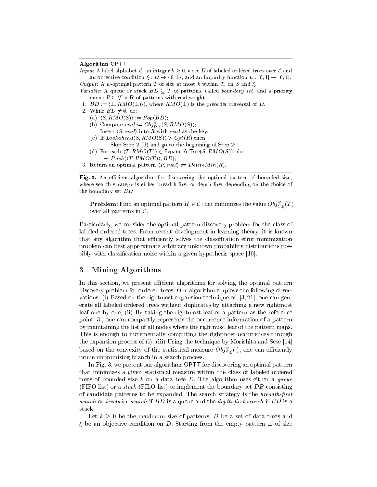#### Algorithm OPTT

*Input*: A label alphabet  $\mathcal{L}$ , an integer  $k \geq 0$ , a set D of labeled ordered trees over  $\mathcal{L}$  and an objective condition  $\xi: D \to \{0,1\}$ , and an impurity function  $\psi: [0,1] \to [0,1]$ . Output: A  $\psi$ -optimal pattern T of size at most k within  $\mathcal{T}_k$  on S and  $\xi$ .

- Variable: A queue or stack  $BD \subseteq \mathcal{T}$  of patterns, called boundary set, and a priority queue  $R \subseteq \mathcal{T} \times \mathbf{R}$  of patterns with real weight.
- 1.  $BD := \langle \perp, RMO(\perp) \rangle$ , where  $RMO(\perp)$  is the preorder traversal of D.
- 2. While  $BD \neq \emptyset$ , do:
	- (a)  $\langle S, RMO(S) \rangle := Pop(BD);$
	- (b) Compute  $eval := \bigcup_{i \in \mathcal{I}} S, \mathit{RM} \bigcup (S)$ );
	- Insert  $\langle S, eval \rangle$  into R with eval as the key;
	- (c) If  $Look ahead(S, RMO(S)) > Opt(R)$  then
	- $-$  Skip Step 2 (d) and go to the beginning of Step 2;
	- (d) For each  $\langle T, RMO(T) \rangle \in$  Expand-A-Tree $(S, RMO(S)),$  do:
		- $Push(\langle T, RMO(T) \rangle, BD);$
- 3. Return an optimal pattern  $\langle P, eval \rangle := DeleteMin(R)$ .

Fig. 3. An efficient algorithm for discovering the optimal pattern of bounded size, where search strategy is either breadth-first or depth-first depending on the choice of the boundary set BD

**Problem:** Find an optimal pattern  $H \in \mathcal{C}$  that minimizes the value  $Obj_{S,\mathcal{E}}^*(T)$ over all patterns in <sup>C</sup>.

Parti
ularly, we onsider the optimal pattern dis
overy problem for the lass of labeled ordered trees. From re
ent development in learning theory, it is known that any organisms that exists the control control communication control minimization  $\mathcal{L}_{\mathcal{A}}$ problem an best approximate arbitrary unknown probability distributions possibly with a given hypothesis space with a given hypothesis space of provided the space of  $\mathbb{R}^n$ 

#### 3 Mining Algorithms

In this se
tion, we present eÆ
ient algorithms for solving the optimal pattern dis
overy problem for ordered trees. Our algorithm employs the following observations: (i) Based on the rightmost expansion temperature technique of [3, 21 L ] (3, 21 L ] (3, 21 L ] (3, 21 erate all labeled ordered trees without dupli
ates by atta
hing <sup>a</sup> new rightmost leaf one by one; (ii) By taking the rightmost leaf of <sup>a</sup> pattern as the referen
e point  $\alpha$  and one compares the oppoint and occurrent measurements of a particle by maintaining the list of all not all not the rightmost leaf of the pattern maps. The rightmost leaf of the p <u>the computing the rementally the rightmost of the rightmost of the rightmost of the rightmost of the rightmost o</u> the expansion process of (i); (iii) Using the technologies of the technologies  $\sim$   $\sim$ based on the convexity of the statistical measure  $Obj_{S,\xi}(\cdot),$  one can efficiently prune unpromising bran
h inasear
h pro
ess.

In Fig. 3, we present our algorithms OPTT for dis
overing an optimal pattern that minimizes <sup>a</sup> given statisti
al measure within the lass of labeled ordered trees of bounded size <sup>k</sup> on <sup>a</sup> data tree <sup>D</sup>. The algorithm uses either <sup>a</sup> queue (FIFO list) or <sup>a</sup> sta
k (FILO list) to implement the boundary set DB onsisting an and the strategy is the strategy is the strategy is the search of the search and the breadthsearch or levelwise search if  $BD$  is a queue and the *depth-first search* if  $BD$  is a sta
k.

Let if a good the maximum size of patterns, I be a set of data trees and develop the  $\xi$  be an objective condition on D. Starting from the empty pattern  $\bot$  of size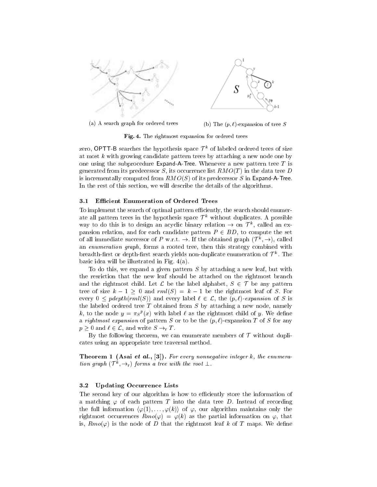

(a) A sear
h graph for ordered trees

(b) The  $(p, \ell)$ -expansion of tree S

Fig. 4. The rightmost expansion for ordered trees

zero, OPTT-D searches the hypothesis space T and labeled ordered trees of size at most  $k$  with growing candidate pattern trees by attaching a new node one by one using the subprocedure Expand-A-Tree. Whenever a new pattern tree  $T$  is generated from its predecessor S, its occurrence list  $RMO(T)$  in the data tree D is incrementally computed from  $RMO(S)$  of its predecessor S in Expand-A-Tree. In the rest of this section, we will describe the details of the algorithms.

#### 3.1 EÆ
ient Enumeration of Ordered Trees

To implement the search of optimal pattern efficiently, the search should enumerate all pattern trees in the hypothesis space fracturatiout duplicates. A possible way to do this is to design an acyclic binary relation  $\rightarrow$  on  $\mu$  , called an expansion relation, and for each candidate pattern  $P \in BD$ , to compute the set of all immediate successor of P w.r.t.  $\rightarrow$  If the obtained graph (T  $\rightarrow$ ), called an enumeration graph, forms a rooted tree, then this strategy combined with  $\rm{pread}$  in strong depth-inst search yields non-duplicate enumeration of  $\rm{\it{T}}$  . The basi idea will be illustrated in Fig. 4(a).

To do this, we expand a given pattern  $S$  by attaching a new leaf, but with the resriction that the new leaf should be attached on the rightmost branch and the rightmost child. Let  $\mathcal L$  be the label alphabet,  $S \in \mathcal T$  be any pattern tree of size  $k - 1 \geq 0$  and  $rm(S) = k - 1$  be the rightmost leaf of S. For every  $0 \leq pdepth(rml(S))$  and every label  $\ell \in \mathcal{L}$ , the  $(p, \ell)$ -expansion of S is the labeled ordered tree  $T$  obtained from  $S$  by attaching a new node, namely  $\kappa$ , to the node  $y = \pi_{S} \kappa(x)$  with label  $\ell$  as the rightmost child of y. We define a rightmost expansion of pattern S or to be the  $(p, \ell)$ -expansion T of S for any  $p \geq 0$  and  $\ell \in \mathcal{L}$ , and write  $S \to_{\rm r} T$ .

By the following theorem, we can enumerate members of  $\mathcal T$  without dupliates using an appropriate tree traversal method.

**Theorem 1 (Asai et al., [3]).** For every nonnegative integer k, the enumeration graph  $(T^*, \rightarrow_r)$  forms a tree with the root  $\perp$ .

#### 3.2 Updating Occurrence Lists

The second key of our algorithm is how to efficiently store the information of a matching  $\varphi$  of each pattern T into the data tree D. Instead of recording the full information  $\langle \varphi(1),..., \varphi(k) \rangle$  of  $\varphi$ , our algorithm maintains only the rightmost occurrences  $Rmo(\varphi) = \varphi(k)$  as the partial information on  $\varphi$ , that is,  $Rmo(\varphi)$  is the node of D that the rightmost leaf k of T maps. We define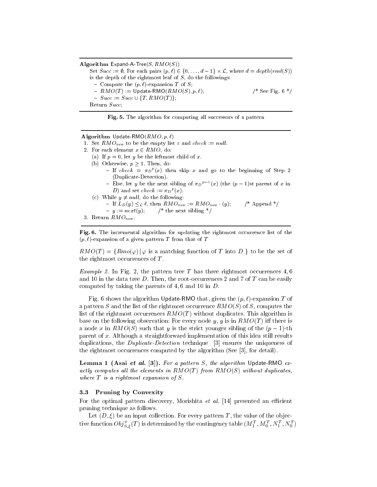Algorithm Expand-A-Tree $(S, RMO(S))$ Set  $Succ := \emptyset$ : For each pairs  $(p, \ell) \in \{0, \ldots, d-1\} \times \mathcal{L}$ , where  $d = depth(rml(S))$ is the depth of the rightmost leaf of  $S$ , do the followings: - Compute the  $(p, \ell)$ -expansion T of S;  $- RMO(T) := \text{Update-RMO}(RMO(S), p, \ell);$  /\* See Fig. 6 \*/  $- Succ := Succ \cup \{T, RMO(T)\};$ Return Succ;

Fig. 5. The algorithm for computing all successors of a pattern

Algorithm Update-RMO( $RMO, p, \ell$ )

1. Set  $RMO_{new}$  to be the empty list  $\varepsilon$  and check := null.

- 2. For each element  $x \in RMO$ , do:
	- (a) If  $p = 0$ , let y be the leftmost child of x.
	- (b) Otherwise,  $p \geq 1$ . Then, do:
		- $-$  if check  $= \pi_D{}^{\scriptscriptstyle C}(x)$  then skip  $x$  and go to the beginning of Step 2 (Duplicate-Detection).
		- Else, let y be the next sibling of  $\pi p^{p-1}(x)$  (the  $(p-1)$ st parent of x in  $D$ ) and set cneck :=  $\pi_D{}^r(x)$ .
	- (c) While  $y \neq null$ , do the following:
		- If  $L_D(y) \leq_{\mathcal{L}} \ell$ , then  $RMO_{new} := RMO_{new}$  (y); /\* Append \*/
		- $-y := next(y);$  /\* the next sibling \*/

```
3. Return RMO_{\text{new}}.
```
Fig. 6. The incremental algorithm for updating the rightmost occurrence list of the  $(p, l)$ -expansion of a given pattern T from that of T

 $RMO(T) = \{Rmo(\varphi) | \varphi \text{ is a matching function of } T \text{ into } D \}$  to be the set of the rightmost occurrences of  $T$ .

Example 2. In Fig. 2, the pattern tree <sup>T</sup> has three rightmost o

urren
es 4; 6 and 10 in the data tree D. Then, the root-occurrences 2 and 7 of T can be easily computed by taking the parents of  $4, 6$  and  $10$  in  $D$ .

Fig. 6 shows the algorithm Update-RMO that, given the  $(p, \ell)$ -expansion T of a pattern S and the list of the rightmost occurrence  $RMO(S)$  of S, computes the list of the rightmost occurrences  $RMO(T)$  without duplicates. This algorithm is base on the following observation: For every node y, y is in  $RMO(T)$  iff there is a node x in  $RMO(S)$  such that y is the strict younger sibling of the  $(p-1)$ -th parent of x. Although a straightforward implementation of this idea still results duplications, the *Duplicate-Detection* technique  $\begin{bmatrix} 3 \end{bmatrix}$  ensures the uniqueness of the rightmost occurrences computed by the algorithm (See  $[3]$ , for detail).

**Lemma 1 (Asai et al.** [3]). For a pattern S, the algorithm Update-RMO exative the elements in the element in RMO(T) in the RMO(S) with at the elements where T is a right-contract experience of S.

#### 3.3 Pruning by Convexity

For the optimal pattern discovery, Morishita *et al.* [14] presented an efficient pruning te
hnique as follows.

Let  $(D, \xi)$  be an input collection. For every pattern T, the value of the objective function  $Obj_{S,\epsilon}^*(T)$  is determined by the contingency table  $(M_1^+,M_0^+,N_1^+,N_0^+)$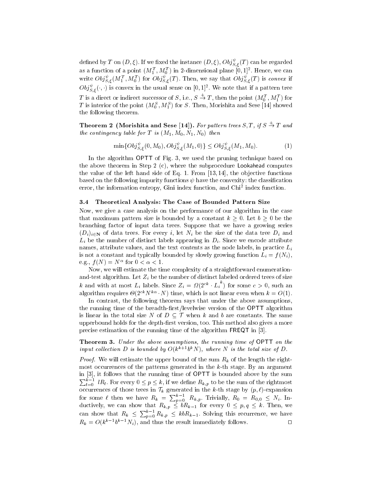defined by T on  $(D,\xi)$ . If we fixed the instance  $(D,\xi),\,U$ 0 $j_{\stackrel{\cdot }{\cal S},\,\xi}(T)$  can be regarded as a function of a point  $(M_{1}^{\tau},M_{0}^{\tau})$  in 2-dimensional plane  $[0,1]^{+}$ . Hence, we can write  $Obj_{S,\varepsilon}^s(M_1^+, M_0^+)$  for  $Obj_{S,\varepsilon}^s(T)$ . Then, we say that  $Obj_{S,\varepsilon}^s(T)$  is convex if  $\mathit{Obj}_{S,\epsilon}(\cdot,\cdot)$  is convex in the usual sense on  $[0,1]^2$ . We note that if a pattern tree T is a direct or indirect successor of S, i.e.,  $S \to T$ , then the point  $(M_0^T, M_1^T)$  for **T** is interior of the point  $(M_0^-, M_1^+)$  for S. Then, Morishita and Sese [14] showed the following theorem.

Theorem 2 (Morishita and Sese [14]). For pattern trees  $S, T, t \, S \rightarrow T$  and  $\sum_{i=1}^{n}$  for  $\sum_{i=1}^{n}$  for  $\sum_{i=1}^{n}$  is  $\sum_{i=1}^{n}$  is  $\sum_{i=1}^{n}$  if  $\sum_{i=1}^{n}$  is  $\sum_{i=1}^{n}$  if  $\sum_{i=1}^{n}$  if  $\sum_{i=1}^{n}$  if  $\sum_{i=1}^{n}$  if  $\sum_{i=1}^{n}$  if  $\sum_{i=1}^{n}$  if  $\sum_{i=1}^{n}$  if  $\sum_{i=1}^{n}$ 

$$
\min\{Obj_{S,\varepsilon}^{\psi}(0,M_0),Obj_{S,\varepsilon}^{\psi}(M_1,0)\} \le Obj_{S,\varepsilon}^{\psi}(M_1,M_0). \tag{1}
$$

In the algorithm OPTT of Fig. 3, we used the pruning te
hnique based on the above theorem in Step <sup>2</sup> (
), where the subpro
edure Lookahead omputes the value of the left hand side of Eq. 1. From [13, 14] the object of the observe based on the following impurity fun
tions have the onvexity: the lassi
ation error, the information entropy, Gini index function, and Chi2 findex function.

#### 3.4 Theoreti
al Analysis: The Case of Bounded Pattern Size

Now, we give a ase analysis on the performan
e of our algorithm in the ase that maximum pattern size is bounded by a constant  $k \geq 0$ . Let  $b \geq 0$  be the branching factor of input database that plane a growing that we have a growing series.  $(D_i)_{i\in\mathbb{N}}$  of data trees. For every i, let  $N_i$  be the size of the data tree  $D_i$  and  $L_i$  be the number of distinct labels appearing in  $D_i$ . Since we encode attribute ontents as the common the text of the text common the text case of the text case, the process case  $\mu$ is ally bounded by proton function  $\mathcal{C}_1$  , and the function  $\mathcal{C}_2$  and  $\mathcal{C}_3$  . The function  $\mathcal{C}_4$ e.g.,  $f(N) = N$  for  $0 \leq \alpha \leq 1$ .

Now, we will estimate the time omplexity of <sup>a</sup> straightforward enumerationand-test algorithm. Let Zi be the number of distin
t labeled ordered trees of size k and with at most  $L_i$  labels. Since  $Z_i = \Omega(2^{c \kappa} \cdot L_i)$  for some  $c > 0$ , such an algorithm requires  $\mathcal{O}(2^{+\kappa}N+\kappa)$  thme, which is not linear even when  $\kappa = O(1)$ .

In ontrast, the following theorem says that under the above assumptions, the running time of the breadth-theory in the level of the breadth-  $\mathbf{Q}$  and  $\mathbf{Q}$ is linear in the total size N of  $D \subseteq \mathcal{T}$  when k and b are constants. The same upperbound holds for the depth-rst version, too. This method also gives <sup>a</sup> more presses estimation of the running time of the algorithm FREQT in  $\mathbb{R}^n$ 

Theorem 3. Under the above assumptions, the running time of OPTT on the input conection  $D$  is bounded by  $O(k^{\kappa+\kappa})$  of  $N$  , where is the total size of  $D$  .

Proof. We will estimate the upper bound of the sum Rk of the length the rightmost o

urren
es of the patterns generated in the <sup>k</sup>-th stage. By an argument in [3], it follows that the running time of OPTT is bounded above by the sum  $\sum_{l=0}^{k-1}$  lRl. For every  $0 \le p \le k$ , if we define  $R_{k,p}$  to be the sum of the rightmost occurrences of those trees in  $\mathcal{T}_k$  generated in the k-th stage by  $(p, \ell)$ -expansion for some  $\ell$  then we have  $R_k = \sum_{n=0}^{k-1} R_{k,p}$ . Trivially,  $R_0 = R_{0,0} \leq N_i$ . Inductively, we can show that  $R_{k,p} \leq bR_{k-1}$  for every  $0 \leq p,q \leq k$ . Then, we can show that  $R_k \leq \sum_{p=0}^{k-1} R_{k,p} \leq k b R_{k-1}$ . Solving this recurrence, we have  $R_k = O(k^{k-1}b^{k-1}N_i)$ , and thus the result immediately follows.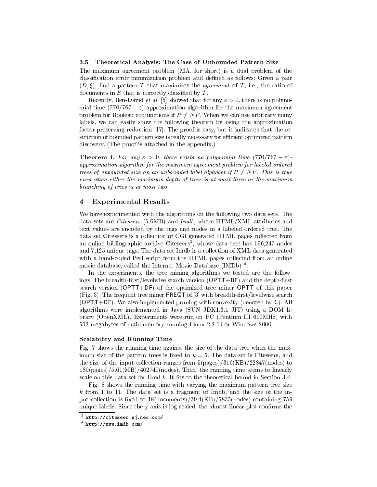#### $3.5$ Theoretical Analysis: The Case of Unbounded Pattern Size

The maximum agreement problem (MA, for short) is a dual problem of the classification error minimization problem and defined as follows: Given a pair  $(D, \xi)$ , find a pattern T that maximizes the *agreement* of T, i.e., the ratio of documents in  $S$  that is correctly classified by  $T$ .

Recently, Ben-David *et al.* [5] showed that for any  $\varepsilon > 0$ , there is no polynomial time  $(770/767 - \varepsilon)$ -approximation algorithm for the maximum agreement problem for Boolean conjunctions if  $P \neq NP$ . When we can use arbitrary many labels, we can easily show the following theorem by using the approximation factor preserving reduction  $[17]$ . The proof is easy, but it indicates that the restriction of bounded pattern size is really necessary for efficient optimized pattern discovery. (The proof is attached in the appendix.)

**Theorem 4.** For any  $\varepsilon > 0$ , there exists no polynomial time (770/767 –  $\varepsilon$ )approximation algorithm for the maximum agreement problem for labeled ordered trees of whose whole size one who whose whole alphabet with it is the process of the first is true to the dist even when enter the maximum wepth of trees is at most three or the maximum de bran
hing of trees is at most two.

#### <sup>4</sup> Experimental Results

We have experimented with the algorithms on the following two data sets. The data sets are Citeseers (5.6MB) and Imdb, where HTML/XML attributes and text values are en
oded by the tags and nodes in a labeled ordered tree. The data set Citeseers is a collection of CGI generated HTML pages collected from an online bibliographic archive Citeseers , whose data tree has 196,247 nodes and 7,125 unique tags. The data set Imdb is a olle
tion of XML data generated with a hand-coded Perl script from the HTML pages collected from an online movie database, alled the Internet Movie Database (IMDb) <sup>4</sup> .

In the experiments, the tree mining algorithms we tested are the followings: The breadth-first/levelwise search version (OPTT+BF) and the depth-first sear
h version (OPTT+DF) of the optimized tree miner OPTT of this paper  $(Fig. 3)$ ; The frequent tree miner  $FREGT$  of  $[3]$  with breadth-first/levelwise search  $(OPTT+DF)$ . We also implemented pruning with convexity (denoted by C). All algorithms were implemented in Java (SUN JDK1.3.1 JIT) using a DOM library (OpenXML). Experiments were run on PC (Pentium III 600MHz) with 512 megabytes of main memory running Linux 2.2.14 or Windows 2000.

#### S
alability and Running Time

Fig. 7 shows the running time against the size of the data tree when the maximum size of the pattern trees is fixed to  $k = 5$ . The data set is Citeseers, and the size of the input collection ranges from  $5(\text{pages})/316(KB)/22847(\text{nodes})$  to 180(pages)/5.61(MB)/402740(nodes). Then, the running time seems to linearly scale on this data set for fixed  $k$ . It fits to the theoretical bound in Section 3.4.

Fig. 8 shows the running time with varying the maximum pattern tree size  $k$  from 1 to 11. The data set is a fragment of Imdb, and the size of the input collection is fixed to  $18$ (documents)/39.4(KB)/5835(nodes) containing 759 unique labels. Since the y-axis is log-scaled, the almost linear plot confirms the

nttp://citeseer.n].nec.com/ -

<sup>4</sup> http://www.imdb.
om/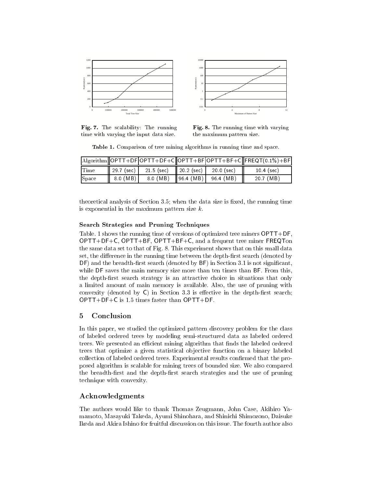

Fig. 7. The s
alability: The running time with varying the input data size.

Fig. 8. The running time with varying the maximum pattern size.

The second in the comparison of the second algorithmic in the space mining and space of the space of the space

|             |                       |                          |                                                 | $\lvert \text{Algorithm} \rvert \text{OPTT} + \text{DF} \rvert \text{OPTT} + \text{DF} + \text{C} \rvert \text{OPTT} + \text{BF} \rvert \text{OPTT} + \text{BF} + \text{C} \rvert \text{FREQT(0.1%)} + \text{BF} \rvert$ |
|-------------|-----------------------|--------------------------|-------------------------------------------------|--------------------------------------------------------------------------------------------------------------------------------------------------------------------------------------------------------------------------|
| <b>Time</b> | $ 297 \text{ (sec)} $ | 21.5 (sec)    20.2 (sec) | 200 (sec)                                       | 10 4 (sec)                                                                                                                                                                                                               |
| Space       | 8.0 (MB)              |                          | 8.0 (MB) $\left  96.4 \right $ (MB)   96.4 (MB) | 20.7 (MB)                                                                                                                                                                                                                |

theoretical analysis of Section 3.5; when the data size is fixed, the running time is exponential in the maximum pattern size  $k$ .

#### Sear
h Strategies and Pruning Te
hniques

Table. 1 shows the running time of versions of optimized tree miners OPTT+DF, OPTT+DF+C, OPTT+BF, OPTT+BF+C, and a frequent tree miner FREQTon the same data set to that of Fig. 8. This experiment shows that on this small data set, the difference in the running time between the depth-first search (denoted by DF) and the breadth-first search (denoted by BF) in Section 3.1 is not significant, while DF saves the main memory size more than ten times than BF. From this, the depth-first search strategy is an attractive choice in situations that only a limited amount of main memory is available. Also, the use of pruning with convexity (denoted by  $C$ ) in Section 3.3 is effective in the depth-first search; OPTT+DF+C is 1.5 times faster than OPTT+DF.

#### **Conclusion**  $\overline{5}$

In this paper, we studied the optimized pattern discovery problem for the class of labeled ordered trees by modeling semi-stru
tured data as labeled ordered trees. We presented an efficient mining algorithm that finds the labeled ordered trees that optimize a given statistical objective function on a binary labeled collection of labeled ordered trees. Experimental results confirmed that the proposed algorithm is s
alable for mining trees of bounded size. We also ompared the breadth-first and the depth-first search strategies and the use of pruning te
hnique with onvexity.

#### A
knowledgments

The authors would like to thank Thomas Zeugmann, John Case, Akihiro Yamamoto, Masayuki Takeda, Ayumi Shinohara, and Shini
hi Shimozono, Daisuke Ikeda and Akira Ishino for fruitful dis
ussion on this issue. The fourth author also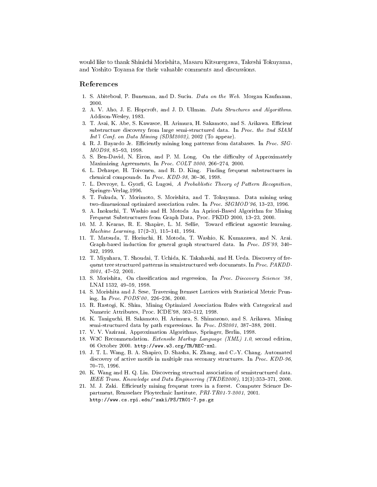wo morishita, Masaru Shini masaru Kitsuregawa, Masaru Morishita, Masaru Tokuyama, Takeshi Tokuyama, Takeshi and Yoshito Toyama for their valuable omments and dis
ussions.

#### Referen
es

- 1. S. Abiteboul, P. Buneman, and D. Suciu. Data on the Web. Morgan Kaufmann, 2000.
- 2. A. V. Aho, J. E. Hopcroft, and J. D. Ullman. Data Structures and Algorithms. Addison-Wesley, 1983.
- 3. T. Asai, K. Abe, S. Kawasoe, H. Arimura, H. Sakamoto, and S. Arikawa. Efficient substructure discovery from large semi-structured data. In Proc. the 2nd SIAM Int'l Conf. on Data Mining (SDM2002), 2002 (To appear).
- 4. R. J. Bayardo Jr. Efficiently mining long patterns from databases. In Proc. SIG- $MOD98, 85-93, 1998.$
- 5. S. Ben-David, N. Eiron, and P. M. Long, On the difficulty of Approximately Maximizing Agreements, In Proc. COLT 2000, 266-274, 2000.
- 6. L. Dehaspe, H. Toivonen, and R. D. King. Finding frequent substructures in chemical compounds. In Proc. KDD-98, 30-36, 1998.
- 7. L. Devroye, L. Gyorfi, G. Lugosi, A Probablistic Theory of Pattern Recognition, Springer-Verlag,1996.
- 8. T. Fukuda, Y. Morimoto, S. Morishita, and T. Tokuyama. Data mining using two-dimensional optimized association rules. In Proc. SIGMOD'96, 13-23, 1996.
- 9. A. Inoku
hi, T. Washio and H. Motoda An Apriori-Based Algorithm for Mining Frequent Substructures from Graph Data, Proc. PKDD 2000, 13-23, 2000.
- 10. M. J. Kearns, R. E. Shapire, L. M. Sellie, Toward efficient agnostic learning. Machine Learning, 17(2-3), 115-141, 1994.
- 11. T. Matsuda, T. Horiu
hi, H. Motoda, T. Washio, K. Kumazawa, and N. Arai. Graph-based induction for general graph structured data. In *Proc. DS'99*, 340– 342, 1999.
- 12. T. Miyahara, T. Shoudai, T. U
hida, K. Takahashi, and H. Ueda. Dis
overy of frequent tree structured patterns in semistructured web documents. In Proc. PAKDD- $2001, 47{-}52, 2001.$
- 13. S. Morishita, On classification and regression, In Proc. Discovery Science '98, LNAI 1532, 49-59, 1998.
- 14. S. Morishita and J. Sese, Traversing Itemset Lattices with Statistical Metric Pruning, In Proc. PODS'00, 226-236, 2000.
- 15. R. Rastogi, K. Shim, Mining Optimized Association Rules with Categorical and Numeric Attributes, Proc. ICDE'98, 503-512, 1998.
- 16. K. Tanigu
hi, H. Sakamoto, H. Arimura, S. Shimozono, and S. Arikawa. Mining semi-structured data by path expressions. In *Proc. DS2001*, 387-388, 2001.
- 17. V. V. Vazirani, Approximation Algorithms, Springer, Berlin, 1998.
- 18. W3C Recommendation. *Extensibe Markup Language (XML)* 1.0, second edition, 06 October 2000. http://www.w3.org/TR/REC-xml.
- 19. J. T. L. Wang, B. A. Shapiro, D. Shasha, K. Zhang, and C.-Y. Chang. Automated discovery of active motifs in multiple rna seconary structures. In Proc. KDD-96, 70-75, 1996.
- 20. K. Wang and H. Q. Liu. Discovering structual association of semistructured data. IEEE Trans. Knowledge and Data Engineering  $(TKDE2000)$ ,  $12(3):353-371$ , 2000.
- 21. M. J. Zaki. Efficiently mining frequent trees in a forest. Computer Science Department, Rensselaer Ployte
hni Institute, PRI-TR01-7-2001, 2001. http://www.
s.rpi.edu/~zaki/PS/TR01-7.ps.gz